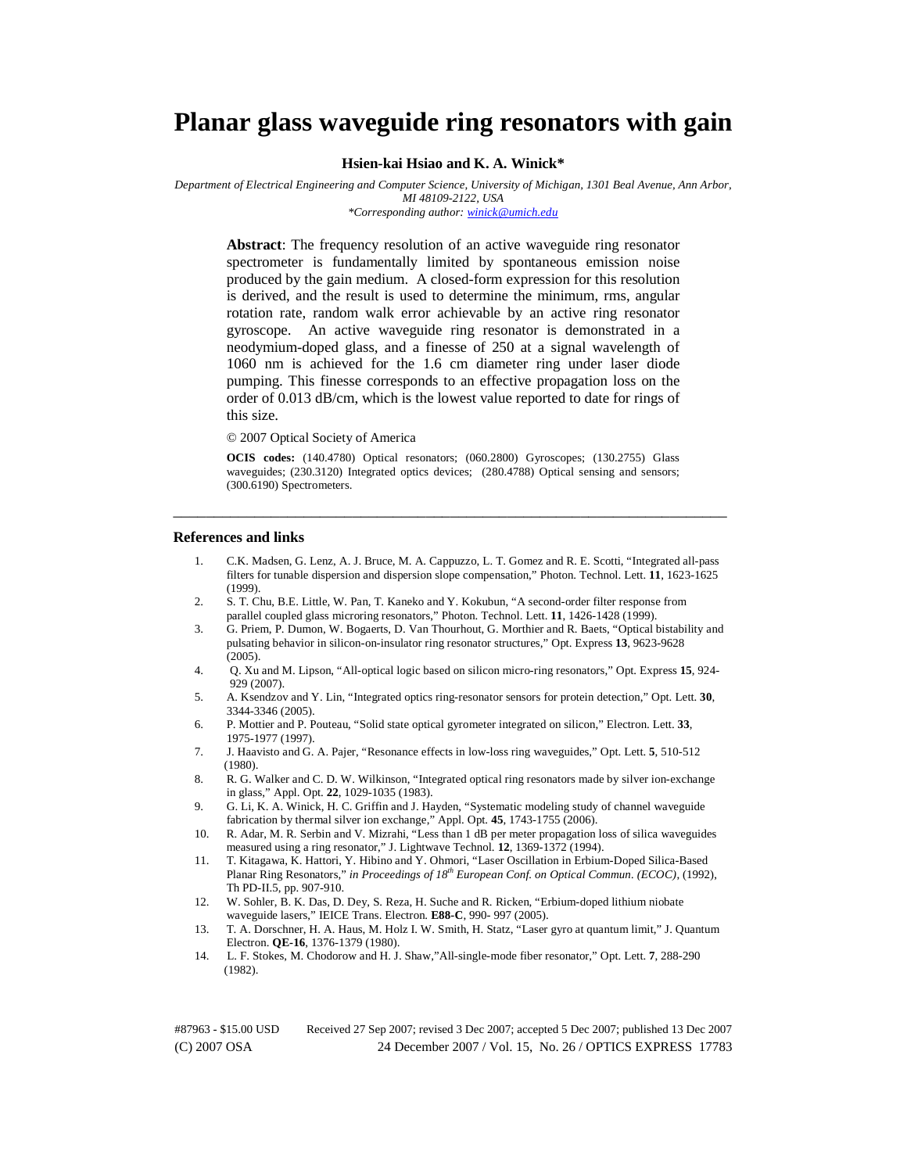# **Planar glass waveguide ring resonators with gain**

#### **Hsien-kai Hsiao and K. A. Winick\***

*Department of Electrical Engineering and Computer Science, University of Michigan, 1301 Beal Avenue, Ann Arbor, MI 48109-2122, USA \*Corresponding author: winick@umich.edu*

**Abstract**: The frequency resolution of an active waveguide ring resonator spectrometer is fundamentally limited by spontaneous emission noise produced by the gain medium. A closed-form expression for this resolution is derived, and the result is used to determine the minimum, rms, angular rotation rate, random walk error achievable by an active ring resonator gyroscope. An active waveguide ring resonator is demonstrated in a neodymium-doped glass, and a finesse of 250 at a signal wavelength of 1060 nm is achieved for the 1.6 cm diameter ring under laser diode pumping. This finesse corresponds to an effective propagation loss on the order of 0.013 dB/cm, which is the lowest value reported to date for rings of this size.

© 2007 Optical Society of America

**OCIS codes:** (140.4780) Optical resonators; (060.2800) Gyroscopes; (130.2755) Glass waveguides; (230.3120) Integrated optics devices; (280.4788) Optical sensing and sensors; (300.6190) Spectrometers.

\_\_\_\_\_\_\_\_\_\_\_\_\_\_\_\_\_\_\_\_\_\_\_\_\_\_\_\_\_\_\_\_\_\_\_\_\_\_\_\_\_\_\_\_\_\_\_\_\_\_\_\_\_\_\_\_\_\_\_\_\_\_\_\_\_\_\_\_

#### **References and links**

- 1.C.K. Madsen, G. Lenz, A. J. Bruce, M. A. Cappuzzo, L. T. Gomez and R. E. Scotti, "Integrated all-pass filters for tunable dispersion and dispersion slope compensation," Photon. Technol. Lett. **11**, 1623-1625 (1999).
- 2. S. T. Chu, B.E. Little, W. Pan, T. Kaneko and Y. Kokubun, "A second-order filter response from parallel coupled glass microring resonators," Photon. Technol. Lett. **11**, 1426-1428 (1999).
- 3. G. Priem, P. Dumon, W. Bogaerts, D. Van Thourhout, G. Morthier and R. Baets, "Optical bistability and pulsating behavior in silicon-on-insulator ring resonator structures," Opt. Express **13**, 9623-9628 (2005).
- 4. Q. Xu and M. Lipson, "All-optical logic based on silicon micro-ring resonators," Opt. Express **15**, 924- 929 (2007).
- 5. A. Ksendzov and Y. Lin, "Integrated optics ring-resonator sensors for protein detection," Opt. Lett. **30**, 3344-3346 (2005).
- 6. P. Mottier and P. Pouteau, "Solid state optical gyrometer integrated on silicon," Electron. Lett. **33**, 1975-1977 (1997).
- 7. J. Haavisto and G. A. Pajer, "Resonance effects in low-loss ring waveguides," Opt. Lett. **5**, 510-512 (1980).
- 8. R. G. Walker and C. D. W. Wilkinson, "Integrated optical ring resonators made by silver ion-exchange in glass," Appl. Opt. **22**, 1029-1035 (1983).
- 9. G. Li, K. A. Winick, H. C. Griffin and J. Hayden, "Systematic modeling study of channel waveguide fabrication by thermal silver ion exchange," Appl. Opt. **45**, 1743-1755 (2006).
- 10. R. Adar, M. R. Serbin and V. Mizrahi, "Less than 1 dB per meter propagation loss of silica waveguides measured using a ring resonator," J. Lightwave Technol. **12**, 1369-1372 (1994).
- 11. T. Kitagawa, K. Hattori, Y. Hibino and Y. Ohmori, "Laser Oscillation in Erbium-Doped Silica-Based Planar Ring Resonators," *in Proceedings of 18th European Conf. on Optical Commun. (ECOC)*, (1992), Th PD-II.5, pp. 907-910.
- 12. W. Sohler, B. K. Das, D. Dey, S. Reza, H. Suche and R. Ricken, "Erbium-doped lithium niobate waveguide lasers," IEICE Trans. Electron. **E88-C**, 990- 997 (2005).
- 13. T. A. Dorschner, H. A. Haus, M. Holz I. W. Smith, H. Statz, "Laser gyro at quantum limit," J. Quantum Electron. **QE-16**, 1376-1379 (1980).
- 14. L. F. Stokes, M. Chodorow and H. J. Shaw,"All-single-mode fiber resonator," Opt. Lett. **7**, 288-290 (1982).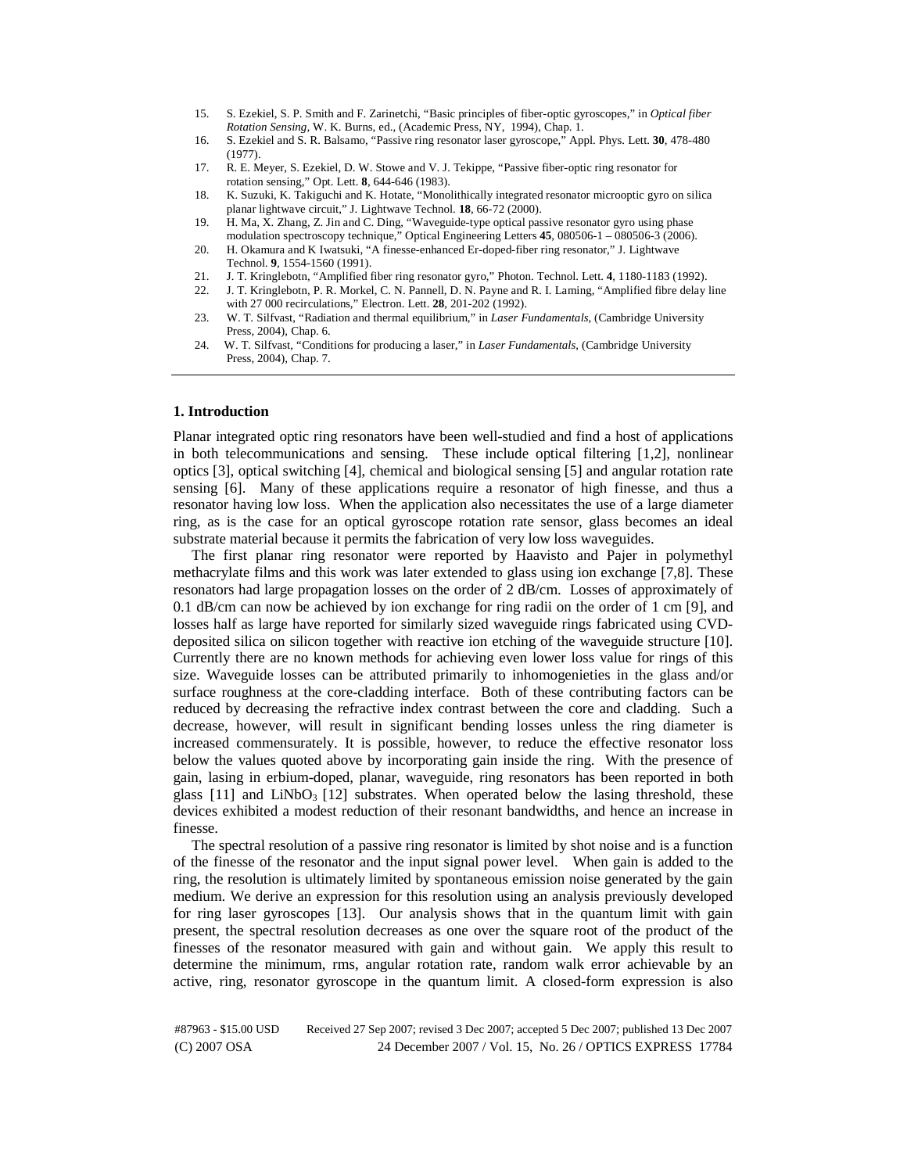- 15. S. Ezekiel, S. P. Smith and F. Zarinetchi, "Basic principles of fiber-optic gyroscopes," in *Optical fiber Rotation Sensing*, W. K. Burns, ed., (Academic Press, NY, 1994), Chap. 1.
- 16. S. Ezekiel and S. R. Balsamo, "Passive ring resonator laser gyroscope," Appl. Phys. Lett. **30**, 478-480  $(1977)$
- 17. R. E. Meyer, S. Ezekiel, D. W. Stowe and V. J. Tekippe, "Passive fiber-optic ring resonator for rotation sensing," Opt. Lett. **8**, 644-646 (1983).
- 18. K. Suzuki, K. Takiguchi and K. Hotate, "Monolithically integrated resonator microoptic gyro on silica planar lightwave circuit," J. Lightwave Technol. **18**, 66-72 (2000).
- 19. H. Ma, X. Zhang, Z. Jin and C. Ding, "Waveguide-type optical passive resonator gyro using phase modulation spectroscopy technique," Optical Engineering Letters **45**, 080506-1 – 080506-3 (2006).
- 20. H. Okamura and K Iwatsuki, "A finesse-enhanced Er-doped-fiber ring resonator," J. Lightwave Technol. **9**, 1554-1560 (1991).
- 21. J. T. Kringlebotn, "Amplified fiber ring resonator gyro," Photon. Technol. Lett. **4**, 1180-1183 (1992).
- 22. J. T. Kringlebotn, P. R. Morkel, C. N. Pannell, D. N. Payne and R. I. Laming, "Amplified fibre delay line with 27 000 recirculations," Electron. Lett. **28**, 201-202 (1992).
- 23. W. T. Silfvast, "Radiation and thermal equilibrium," in *Laser Fundamentals*, (Cambridge University Press, 2004), Chap. 6.<br>24. W. T. Silfvast, "Condi
- 24. W. T. Silfvast, "Conditions for producing a laser," in *Laser Fundamentals*, (Cambridge University Press, 2004), Chap. 7.

# **1. Introduction**

Planar integrated optic ring resonators have been well-studied and find a host of applications in both telecommunications and sensing. These include optical filtering [1,2], nonlinear optics [3], optical switching [4], chemical and biological sensing [5] and angular rotation rate sensing [6]. Many of these applications require a resonator of high finesse, and thus a resonator having low loss. When the application also necessitates the use of a large diameter ring, as is the case for an optical gyroscope rotation rate sensor, glass becomes an ideal substrate material because it permits the fabrication of very low loss waveguides.

 The first planar ring resonator were reported by Haavisto and Pajer in polymethyl methacrylate films and this work was later extended to glass using ion exchange [7,8]. These resonators had large propagation losses on the order of 2 dB/cm. Losses of approximately of 0.1 dB/cm can now be achieved by ion exchange for ring radii on the order of 1 cm [9], and losses half as large have reported for similarly sized waveguide rings fabricated using CVDdeposited silica on silicon together with reactive ion etching of the waveguide structure [10]. Currently there are no known methods for achieving even lower loss value for rings of this size. Waveguide losses can be attributed primarily to inhomogenieties in the glass and/or surface roughness at the core-cladding interface. Both of these contributing factors can be reduced by decreasing the refractive index contrast between the core and cladding. Such a decrease, however, will result in significant bending losses unless the ring diameter is increased commensurately. It is possible, however, to reduce the effective resonator loss below the values quoted above by incorporating gain inside the ring. With the presence of gain, lasing in erbium-doped, planar, waveguide, ring resonators has been reported in both glass  $[11]$  and LiNbO<sub>3</sub>  $[12]$  substrates. When operated below the lasing threshold, these devices exhibited a modest reduction of their resonant bandwidths, and hence an increase in finesse.

 The spectral resolution of a passive ring resonator is limited by shot noise and is a function of the finesse of the resonator and the input signal power level. When gain is added to the ring, the resolution is ultimately limited by spontaneous emission noise generated by the gain medium. We derive an expression for this resolution using an analysis previously developed for ring laser gyroscopes [13]. Our analysis shows that in the quantum limit with gain present, the spectral resolution decreases as one over the square root of the product of the finesses of the resonator measured with gain and without gain. We apply this result to determine the minimum, rms, angular rotation rate, random walk error achievable by an active, ring, resonator gyroscope in the quantum limit. A closed-form expression is also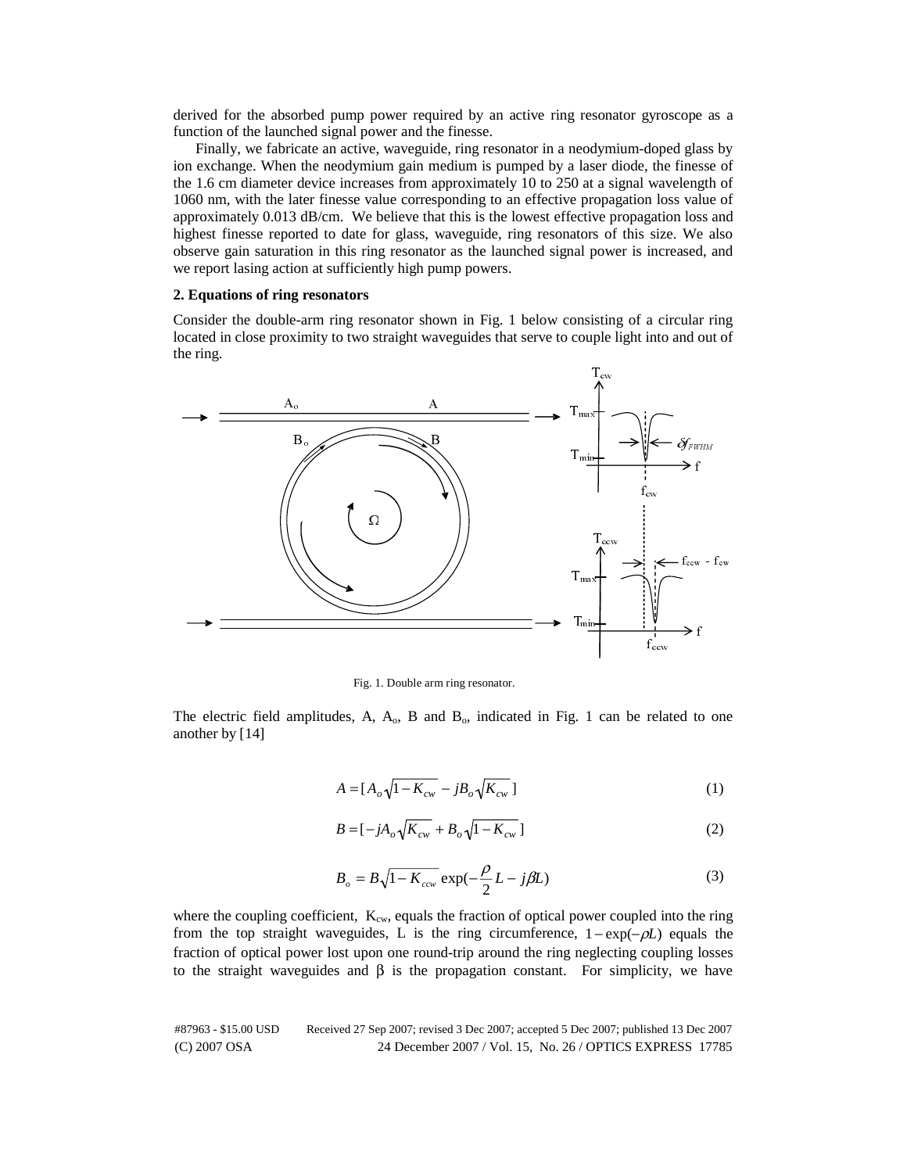derived for the absorbed pump power required by an active ring resonator gyroscope as a function of the launched signal power and the finesse.

 Finally, we fabricate an active, waveguide, ring resonator in a neodymium-doped glass by ion exchange. When the neodymium gain medium is pumped by a laser diode, the finesse of the 1.6 cm diameter device increases from approximately 10 to 250 at a signal wavelength of 1060 nm, with the later finesse value corresponding to an effective propagation loss value of approximately 0.013 dB/cm. We believe that this is the lowest effective propagation loss and highest finesse reported to date for glass, waveguide, ring resonators of this size. We also observe gain saturation in this ring resonator as the launched signal power is increased, and we report lasing action at sufficiently high pump powers.

## **2. Equations of ring resonators**

Consider the double-arm ring resonator shown in Fig. 1 below consisting of a circular ring located in close proximity to two straight waveguides that serve to couple light into and out of the ring.



Fig. 1. Double arm ring resonator.

The electric field amplitudes, A,  $A_0$ , B and  $B_0$ , indicated in Fig. 1 can be related to one another by [14]

$$
A = [A_o \sqrt{1 - K_{cw}} - jB_o \sqrt{K_{cw}}]
$$
\n<sup>(1)</sup>

$$
B = [-jA_o\sqrt{K_{cw}} + B_o\sqrt{1 - K_{cw}}]
$$
 (2)

$$
B_o = B\sqrt{1 - K_{ccw}} \exp(-\frac{\rho}{2}L - j\beta L)
$$
 (3)

where the coupling coefficient,  $K_{cw}$ , equals the fraction of optical power coupled into the ring from the top straight waveguides, L is the ring circumference,  $1 - \exp(-\rho L)$  equals the fraction of optical power lost upon one round-trip around the ring neglecting coupling losses to the straight waveguides and  $\beta$  is the propagation constant. For simplicity, we have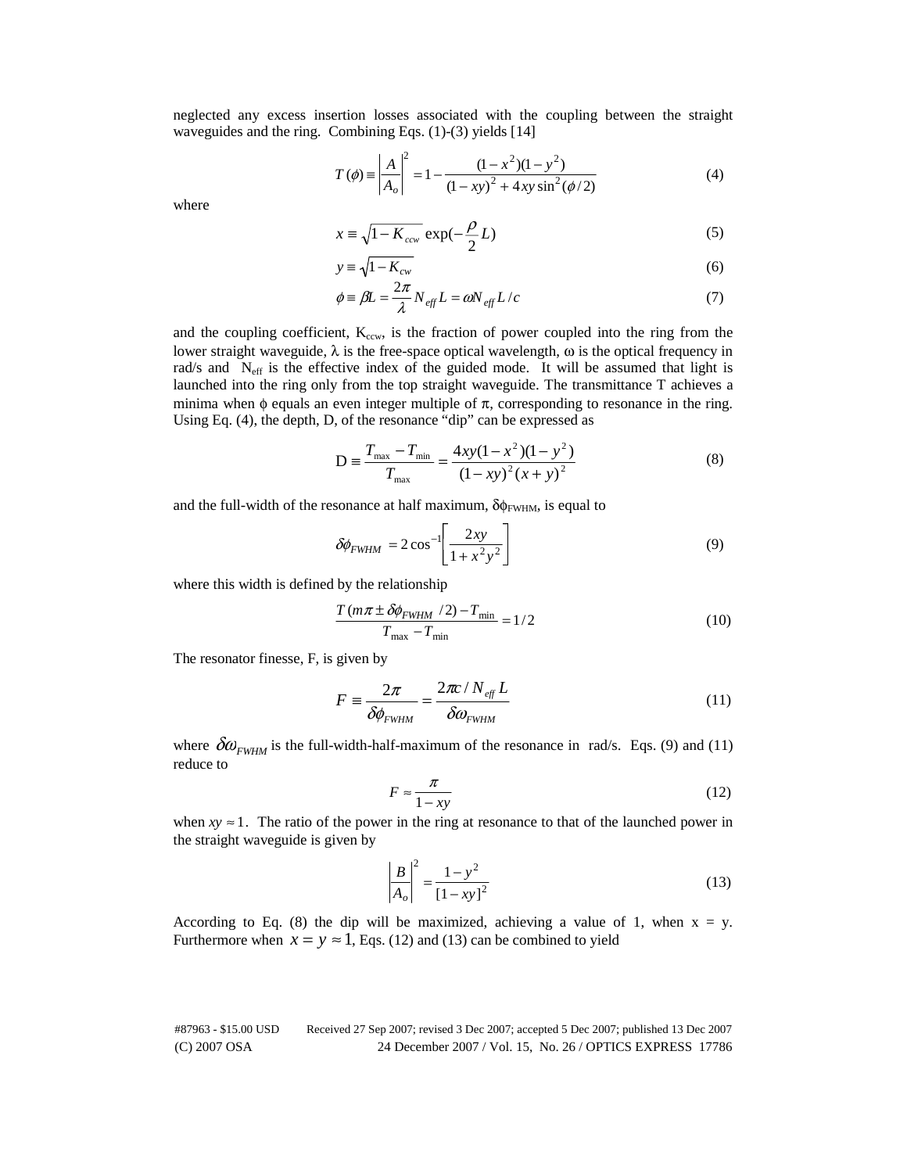neglected any excess insertion losses associated with the coupling between the straight waveguides and the ring. Combining Eqs. (1)-(3) yields [14]

$$
T(\phi) = \left| \frac{A}{A_o} \right|^2 = 1 - \frac{(1 - x^2)(1 - y^2)}{(1 - xy)^2 + 4xy \sin^2(\phi/2)}
$$
(4)

where

$$
x \equiv \sqrt{1 - K_{ccw}} \exp(-\frac{\rho}{2}L)
$$
 (5)

$$
y \equiv \sqrt{1 - K_{cw}}\tag{6}
$$

$$
\phi \equiv \beta L = \frac{2\pi}{\lambda} N_{\text{eff}} L = \omega N_{\text{eff}} L / c \tag{7}
$$

and the coupling coefficient,  $K_{ccw}$ , is the fraction of power coupled into the ring from the lower straight waveguide,  $\lambda$  is the free-space optical wavelength,  $\omega$  is the optical frequency in rad/s and N<sub>eff</sub> is the effective index of the guided mode. It will be assumed that light is launched into the ring only from the top straight waveguide. The transmittance T achieves a minima when  $\phi$  equals an even integer multiple of  $\pi$ , corresponding to resonance in the ring. Using Eq. (4), the depth, D, of the resonance "dip" can be expressed as

$$
D = \frac{T_{\text{max}} - T_{\text{min}}}{T_{\text{max}}} = \frac{4xy(1 - x^2)(1 - y^2)}{(1 - xy)^2(x + y)^2}
$$
(8)

and the full-width of the resonance at half maximum,  $\delta \phi_{FWHM}$ , is equal to

$$
\delta\phi_{FWHM} = 2\cos^{-1}\left[\frac{2xy}{1+x^2y^2}\right]
$$
\n(9)

where this width is defined by the relationship

$$
\frac{T(m\pi \pm \delta\phi_{FWHM} / 2) - T_{\text{min}}}{T_{\text{max}} - T_{\text{min}}} = 1/2
$$
\n(10)

The resonator finesse, F, is given by

$$
F \equiv \frac{2\pi}{\delta \phi_{FWHM}} = \frac{2\pi c / N_{\text{eff}} L}{\delta \omega_{FWHM}} \tag{11}
$$

where  $\delta \omega_{FWHM}$  is the full-width-half-maximum of the resonance in rad/s. Eqs. (9) and (11) reduce to

$$
F \approx \frac{\pi}{1 - xy} \tag{12}
$$

when  $xy \approx 1$ . The ratio of the power in the ring at resonance to that of the launched power in the straight waveguide is given by

$$
\left| \frac{B}{A_o} \right|^2 = \frac{1 - y^2}{[1 - xy]^2}
$$
\n(13)

According to Eq. (8) the dip will be maximized, achieving a value of 1, when  $x = y$ . Furthermore when  $x = y \approx 1$ , Eqs. (12) and (13) can be combined to yield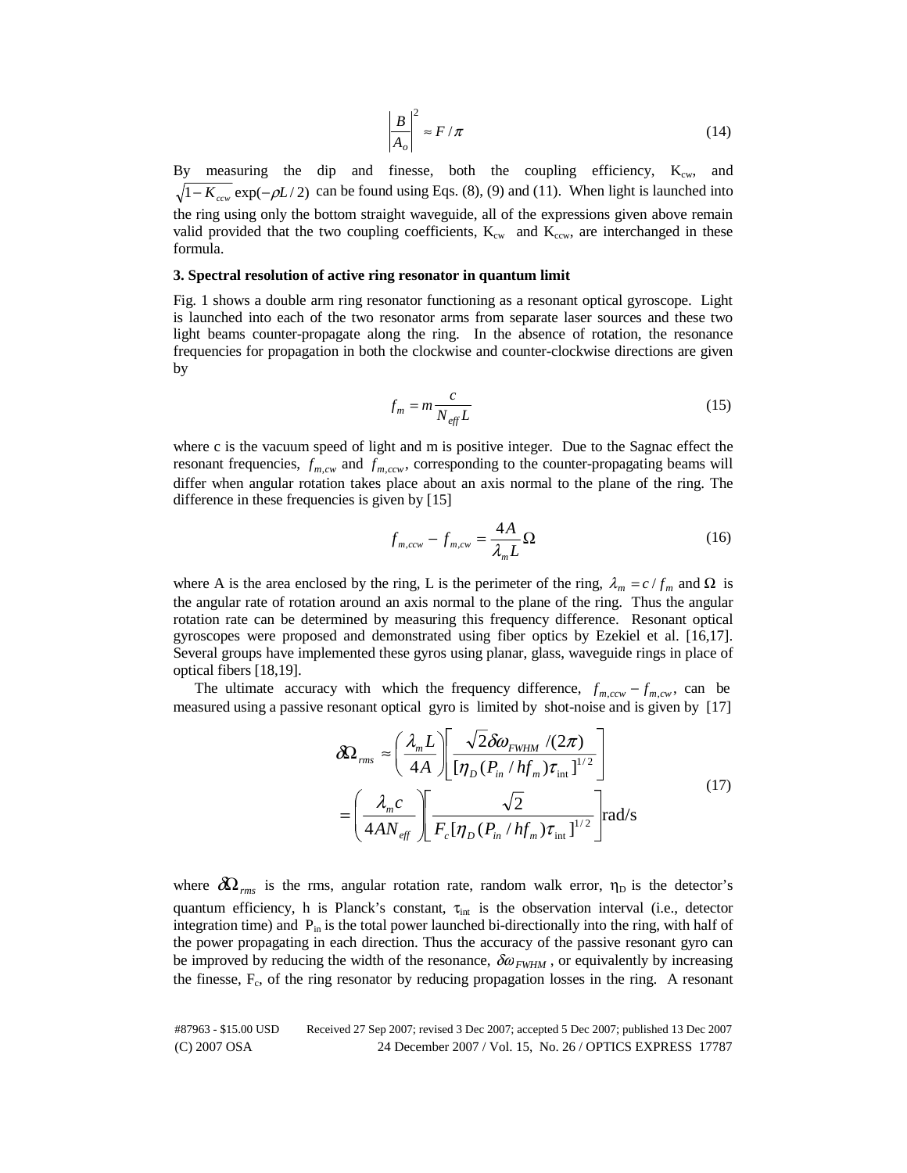$$
\left|\frac{B}{A_o}\right|^2 \approx F/\pi
$$
 (14)

By measuring the dip and finesse, both the coupling efficiency,  $K_{cw}$ , and  $\sqrt{1 - K_{\text{ccw}}}$  exp( $-\rho L/2$ ) can be found using Eqs. (8), (9) and (11). When light is launched into the ring using only the bottom straight waveguide, all of the expressions given above remain valid provided that the two coupling coefficients,  $K_{cw}$  and  $K_{ccw}$ , are interchanged in these formula.

#### **3. Spectral resolution of active ring resonator in quantum limit**

Fig. 1 shows a double arm ring resonator functioning as a resonant optical gyroscope. Light is launched into each of the two resonator arms from separate laser sources and these two light beams counter-propagate along the ring. In the absence of rotation, the resonance frequencies for propagation in both the clockwise and counter-clockwise directions are given by

$$
f_m = m \frac{c}{N_{\text{eff}} L} \tag{15}
$$

where c is the vacuum speed of light and m is positive integer. Due to the Sagnac effect the resonant frequencies,  $f_{m,cw}$  and  $f_{m,ccw}$ , corresponding to the counter-propagating beams will differ when angular rotation takes place about an axis normal to the plane of the ring. The difference in these frequencies is given by [15]

$$
f_{m,ccw} - f_{m,cw} = \frac{4A}{\lambda_m L} \Omega \tag{16}
$$

where A is the area enclosed by the ring, L is the perimeter of the ring,  $\lambda_m = c / f_m$  and  $\Omega$  is the angular rate of rotation around an axis normal to the plane of the ring. Thus the angular rotation rate can be determined by measuring this frequency difference. Resonant optical gyroscopes were proposed and demonstrated using fiber optics by Ezekiel et al. [16,17]. Several groups have implemented these gyros using planar, glass, waveguide rings in place of optical fibers [18,19].

The ultimate accuracy with which the frequency difference,  $f_{m, c c w} - f_{m, c w}$ , can be measured using a passive resonant optical gyro is limited by shot-noise and is given by [17]

$$
\delta\!\Omega_{rms} \approx \left(\frac{\lambda_m L}{4A}\right) \left[\frac{\sqrt{2}\delta\omega_{FWHM} / (2\pi)}{\left[\eta_D (P_{in} / hf_m) \tau_{int}\right]^{1/2}}\right]
$$

$$
= \left(\frac{\lambda_m c}{4A N_{eff}}\right) \left[\frac{\sqrt{2}}{F_c \left[\eta_D (P_{in} / hf_m) \tau_{int}\right]^{1/2}}\right] \text{rad/s}
$$
(17)

where  $\delta\Omega_{rms}$  is the rms, angular rotation rate, random walk error,  $\eta_D$  is the detector's quantum efficiency, h is Planck's constant,  $\tau_{int}$  is the observation interval (i.e., detector integration time) and  $P_{in}$  is the total power launched bi-directionally into the ring, with half of the power propagating in each direction. Thus the accuracy of the passive resonant gyro can be improved by reducing the width of the resonance,  $\delta \omega_{FWHM}$ , or equivalently by increasing the finesse,  $F_c$ , of the ring resonator by reducing propagation losses in the ring. A resonant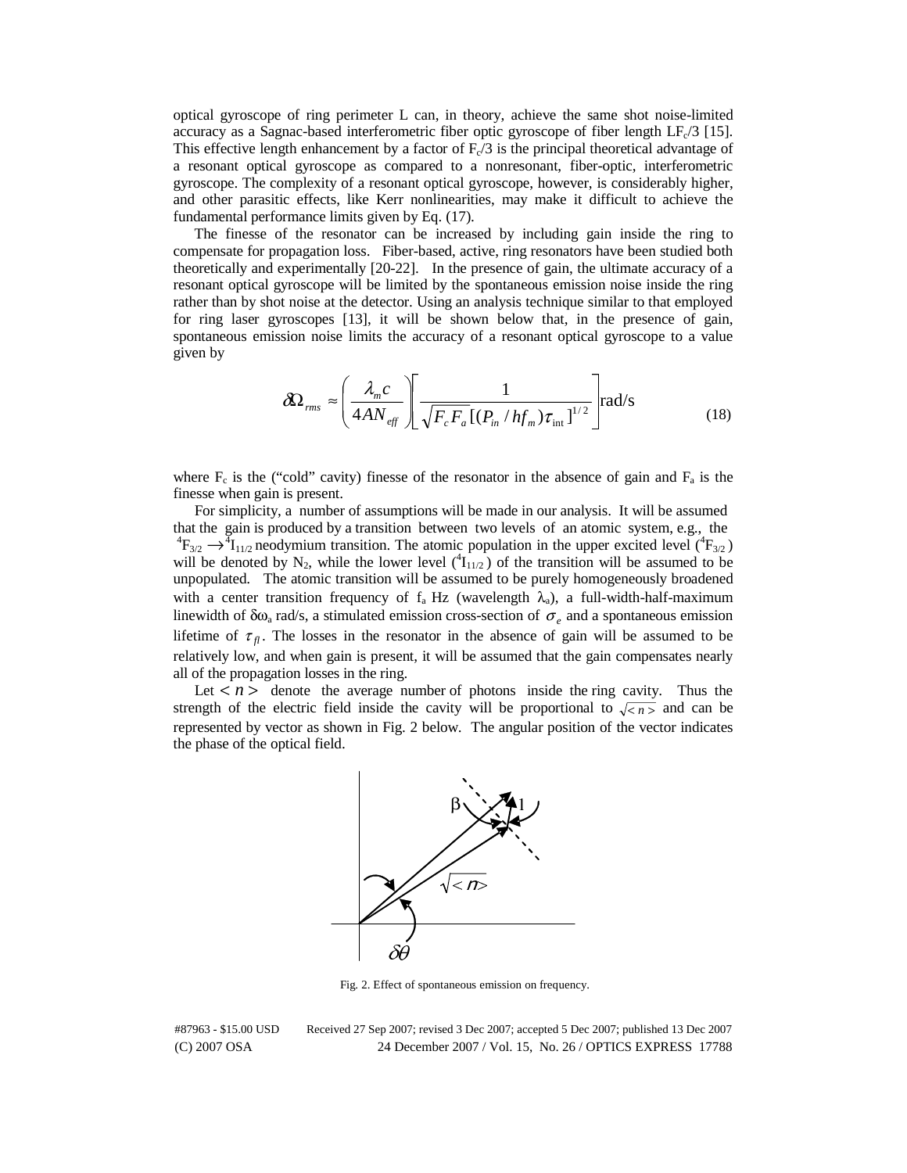optical gyroscope of ring perimeter L can, in theory, achieve the same shot noise-limited accuracy as a Sagnac-based interferometric fiber optic gyroscope of fiber length  $LF_c/3$  [15]. This effective length enhancement by a factor of  $F<sub>c</sub>/3$  is the principal theoretical advantage of a resonant optical gyroscope as compared to a nonresonant, fiber-optic, interferometric gyroscope. The complexity of a resonant optical gyroscope, however, is considerably higher, and other parasitic effects, like Kerr nonlinearities, may make it difficult to achieve the fundamental performance limits given by Eq. (17).

The finesse of the resonator can be increased by including gain inside the ring to compensate for propagation loss. Fiber-based, active, ring resonators have been studied both theoretically and experimentally [20-22]. In the presence of gain, the ultimate accuracy of a resonant optical gyroscope will be limited by the spontaneous emission noise inside the ring rather than by shot noise at the detector. Using an analysis technique similar to that employed for ring laser gyroscopes [13], it will be shown below that, in the presence of gain, spontaneous emission noise limits the accuracy of a resonant optical gyroscope to a value given by

$$
\delta\!\Omega_{rms} \approx \left(\frac{\lambda_m c}{4A N_{\text{eff}}}\right) \left[\frac{1}{\sqrt{F_c F_a} \left[(P_{in}/hf_m)\tau_{int}\right]^{1/2}}\right] \text{rad/s}
$$
 (18)

where  $F_c$  is the ("cold" cavity) finesse of the resonator in the absence of gain and  $F_a$  is the finesse when gain is present.

For simplicity, a number of assumptions will be made in our analysis. It will be assumed that the gain is produced by a transition between two levels of an atomic system, e.g., the  ${}^{4}F_{3/2} \rightarrow {}^{4}I_{11/2}$  neodymium transition. The atomic population in the upper excited level  $({}^{4}F_{3/2})$ will be denoted by  $N_2$ , while the lower level  $({}^4I_{11/2})$  of the transition will be assumed to be unpopulated. The atomic transition will be assumed to be purely homogeneously broadened with a center transition frequency of  $f_a$  Hz (wavelength  $\lambda_a$ ), a full-width-half-maximum linewidth of  $\delta\omega_a$  rad/s, a stimulated emission cross-section of  $\sigma_e$  and a spontaneous emission lifetime of  $\tau_{\eta}$ . The losses in the resonator in the absence of gain will be assumed to be relatively low, and when gain is present, it will be assumed that the gain compensates nearly all of the propagation losses in the ring.

Let  $\leq n$  > denote the average number of photons inside the ring cavity. Thus the strength of the electric field inside the cavity will be proportional to  $\sqrt{\langle n \rangle}$  and can be represented by vector as shown in Fig. 2 below. The angular position of the vector indicates the phase of the optical field.



Fig. 2. Effect of spontaneous emission on frequency.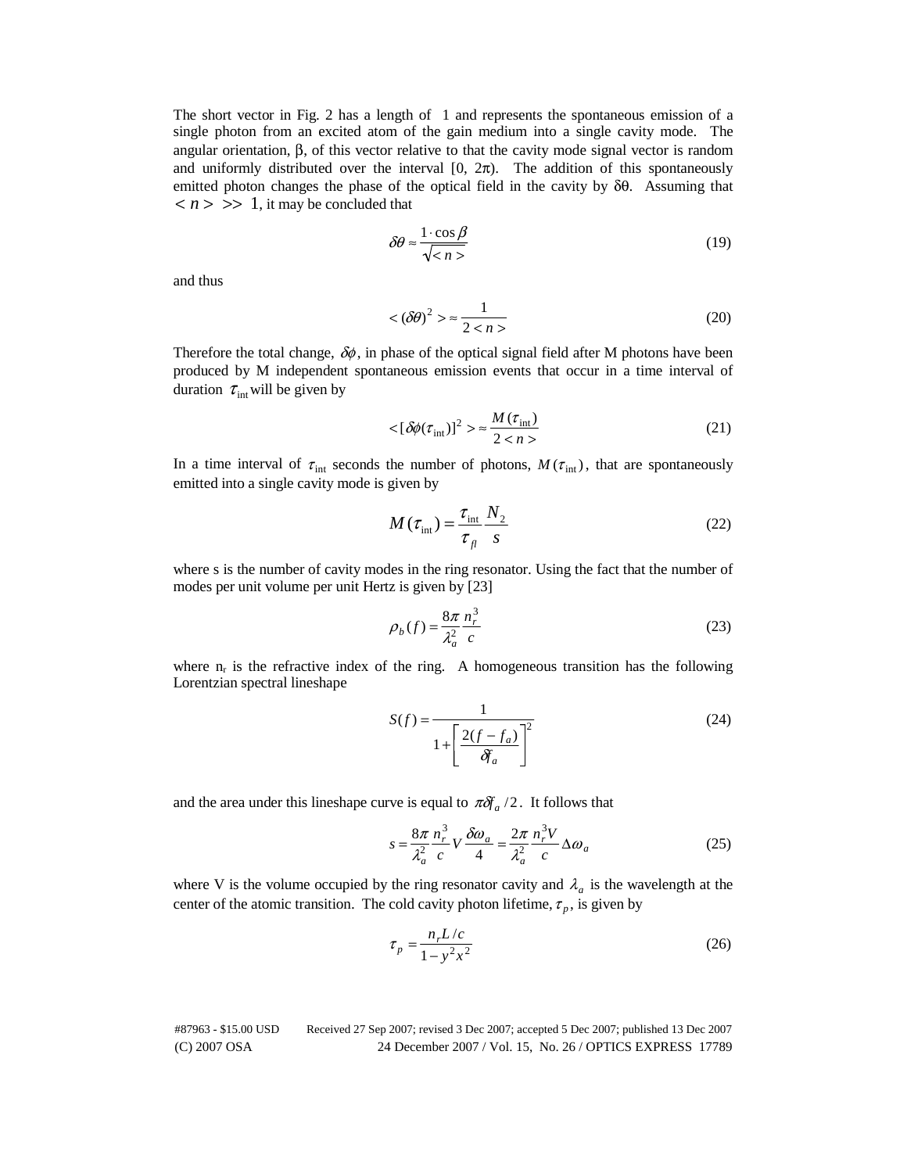The short vector in Fig. 2 has a length of 1 and represents the spontaneous emission of a single photon from an excited atom of the gain medium into a single cavity mode. The angular orientation,  $β$ , of this vector relative to that the cavity mode signal vector is random and uniformly distributed over the interval  $[0, 2\pi)$ . The addition of this spontaneously emitted photon changes the phase of the optical field in the cavity by  $\delta\theta$ . Assuming that  $\langle n \rangle$  > > 1, it may be concluded that

$$
\delta\theta \approx \frac{1 \cdot \cos \beta}{\sqrt{1 \cdot 10^2}}\tag{19}
$$

and thus

$$
\langle (\delta \theta)^2 \rangle \approx \frac{1}{2 \langle n \rangle} \tag{20}
$$

Therefore the total change,  $\delta\phi$ , in phase of the optical signal field after M photons have been produced by M independent spontaneous emission events that occur in a time interval of duration  $\tau_{\text{int}}$  will be given by

$$
\langle \delta \phi(\tau_{\text{int}}) \rangle^2 > \approx \frac{M(\tau_{\text{int}})}{2 < n} \tag{21}
$$

In a time interval of  $\tau_{\text{int}}$  seconds the number of photons,  $M(\tau_{\text{int}})$ , that are spontaneously emitted into a single cavity mode is given by

$$
M\left(\tau_{\text{int}}\right) = \frac{\tau_{\text{int}}}{\tau_{\text{f}}} \frac{N_2}{s} \tag{22}
$$

where s is the number of cavity modes in the ring resonator. Using the fact that the number of modes per unit volume per unit Hertz is given by [23]

$$
\rho_b(f) = \frac{8\pi}{\lambda_a^2} \frac{n_r^3}{c}
$$
\n(23)

where  $n_r$  is the refractive index of the ring. A homogeneous transition has the following Lorentzian spectral lineshape

$$
S(f) = \frac{1}{1 + \left[\frac{2(f - f_a)}{\delta f_a}\right]^2}
$$
(24)

and the area under this lineshape curve is equal to  $\pi \delta f_a/2$ . It follows that

$$
s = \frac{8\pi}{\lambda_a^2} \frac{n_r^3}{c} V \frac{\delta \omega_a}{4} = \frac{2\pi}{\lambda_a^2} \frac{n_r^3 V}{c} \Delta \omega_a
$$
 (25)

where V is the volume occupied by the ring resonator cavity and  $\lambda_a$  is the wavelength at the center of the atomic transition. The cold cavity photon lifetime,  $\tau_p$ , is given by

$$
\tau_p = \frac{n_r L/c}{1 - y^2 x^2}
$$
 (26)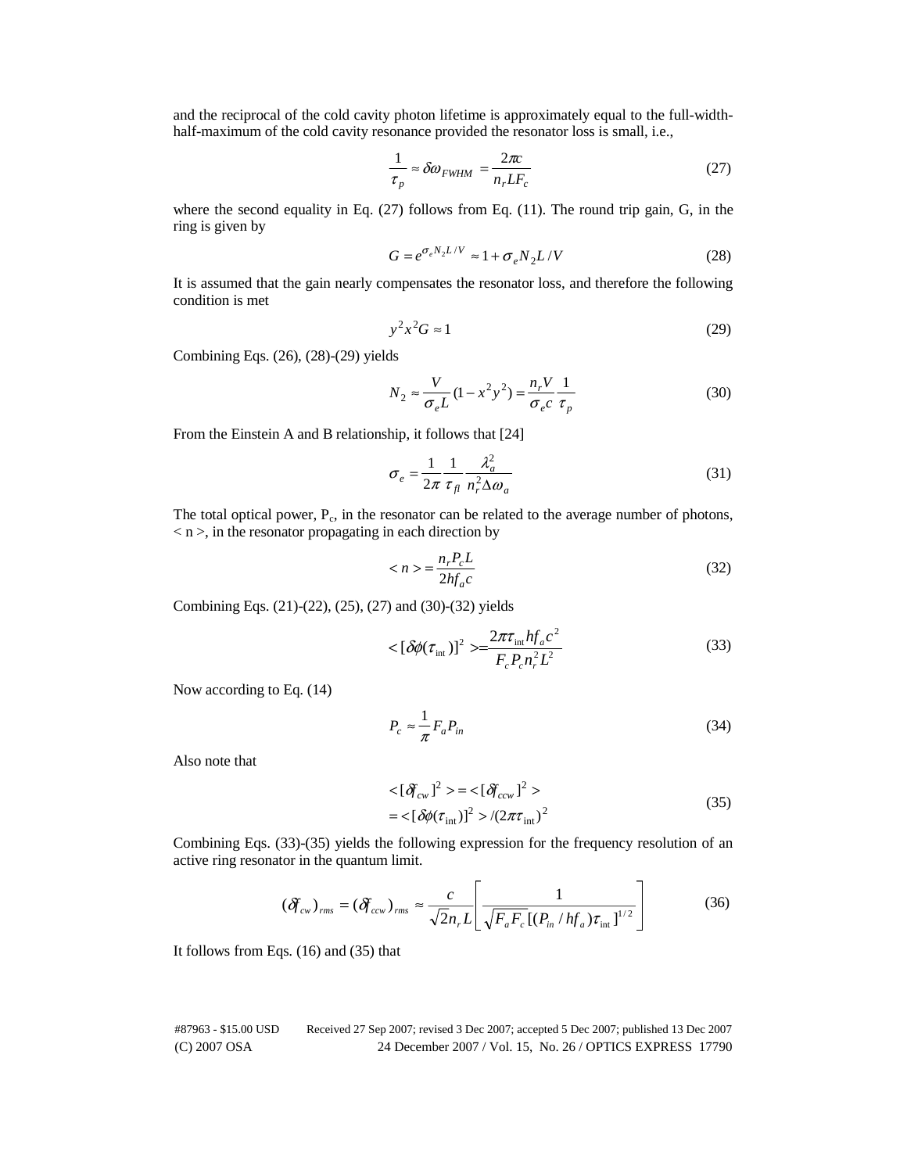and the reciprocal of the cold cavity photon lifetime is approximately equal to the full-widthhalf-maximum of the cold cavity resonance provided the resonator loss is small, i.e.,

$$
\frac{1}{\tau_p} \approx \delta \omega_{FWHM} = \frac{2\pi c}{n_r L F_c}
$$
(27)

where the second equality in Eq. (27) follows from Eq. (11). The round trip gain, G, in the ring is given by

$$
G = e^{\sigma_e N_2 L/V} \approx 1 + \sigma_e N_2 L/V
$$
 (28)

It is assumed that the gain nearly compensates the resonator loss, and therefore the following condition is met

$$
y^2 x^2 G \approx 1\tag{29}
$$

Combining Eqs. (26), (28)-(29) yields

$$
N_2 \approx \frac{V}{\sigma_e L} (1 - x^2 y^2) = \frac{n_r V}{\sigma_e c} \frac{1}{\tau_p}
$$
(30)

From the Einstein A and B relationship, it follows that [24]

$$
\sigma_e = \frac{1}{2\pi} \frac{1}{\tau_{\scriptscriptstyle{A}} n_r^2 \Delta \omega_a} \tag{31}
$$

The total optical power,  $P_c$ , in the resonator can be related to the average number of photons,  $\langle n \rangle$ , in the resonator propagating in each direction by

$$
\langle n \rangle = \frac{n_r P_c L}{2h f_a c} \tag{32}
$$

Combining Eqs. (21)-(22), (25), (27) and (30)-(32) yields

$$
\langle \left[ \delta \phi(\tau_{\text{int}}) \right]^2 \rangle = \frac{2\pi \tau_{\text{int}} h f_a c^2}{F_c P_c n_r^2 L^2} \tag{33}
$$

Now according to Eq. (14)

$$
P_c \approx \frac{1}{\pi} F_a P_{in} \tag{34}
$$

Also note that

$$
<[\delta f_{cw}]^2> = <[\delta f_{ccw}]^2>
$$
  
=  $([\delta \phi(\tau_{int})]^2>/(2\pi \tau_{int})^2$  (35)

Combining Eqs. (33)-(35) yields the following expression for the frequency resolution of an active ring resonator in the quantum limit.

$$
\left(\delta f_{cw}\right)_{rms} = \left(\delta f_{ccw}\right)_{rms} \approx \frac{c}{\sqrt{2}n_rL} \left[\frac{1}{\sqrt{F_a F_c} \left[(P_{in}/hf_a)\tau_{int}\right]^{1/2}}\right]
$$
(36)

It follows from Eqs. (16) and (35) that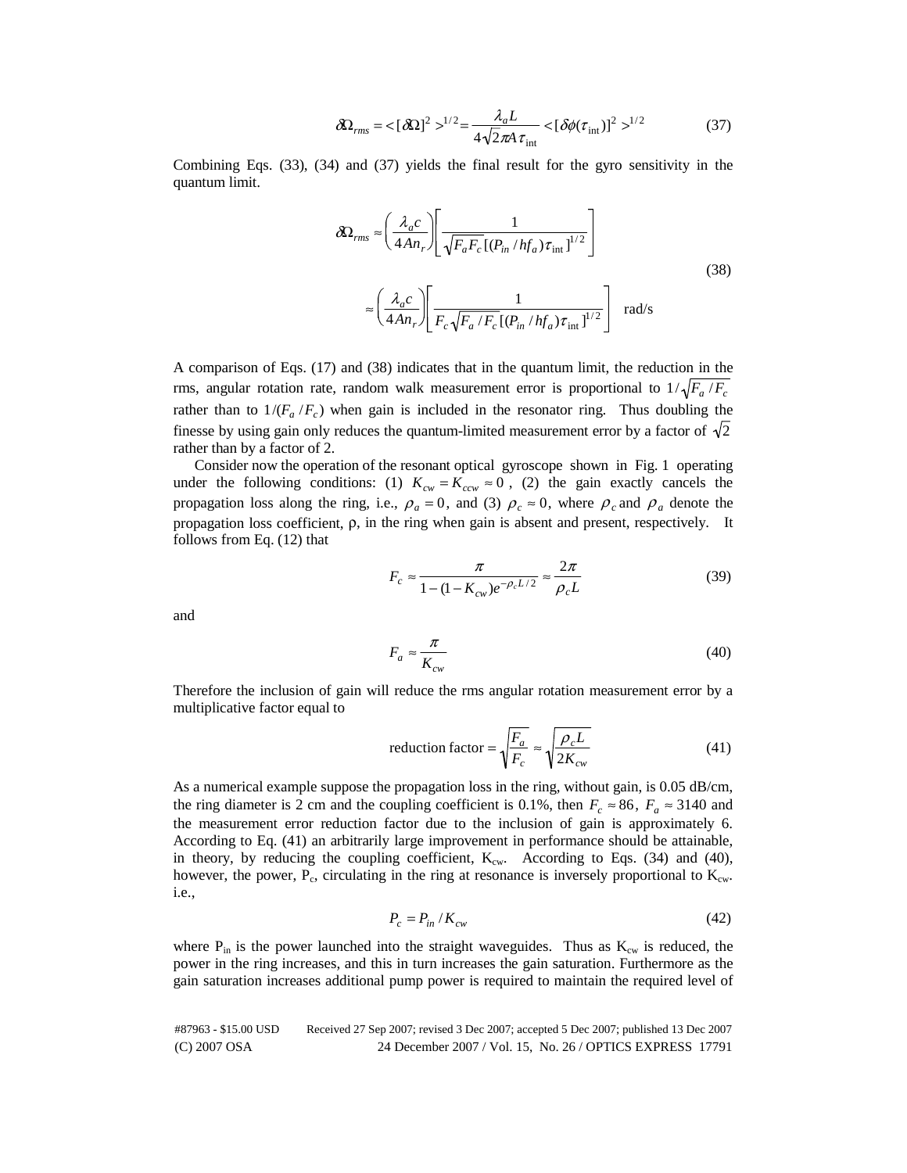$$
\delta\!\Omega_{rms} = \langle [\delta\!\Omega]^2 \rangle^{-1/2} = \frac{\lambda_a L}{4\sqrt{2}\pi\!\mathcal{A}\,\tau_{\rm int}} \langle [\delta\phi(\tau_{\rm int})]^2 \rangle^{-1/2} \tag{37}
$$

Combining Eqs. (33), (34) and (37) yields the final result for the gyro sensitivity in the quantum limit.

$$
\delta\!\Omega_{rms} \approx \left(\frac{\lambda_a c}{4An_r}\right) \left[\frac{1}{\sqrt{F_a F_c} \left[(P_{in}/hf_a)\tau_{int}\right]^{1/2}}\right]
$$
\n
$$
\approx \left(\frac{\lambda_a c}{4An_r}\right) \left[\frac{1}{F_c\sqrt{F_a/F_c} \left[(P_{in}/hf_a)\tau_{int}\right]^{1/2}}\right] \text{ rad/s}
$$
\n(38)

A comparison of Eqs. (17) and (38) indicates that in the quantum limit, the reduction in the rms, angular rotation rate, random walk measurement error is proportional to  $1/\sqrt{F_a/F_c}$ rather than to  $1/(F_a/F_c)$  when gain is included in the resonator ring. Thus doubling the finesse by using gain only reduces the quantum-limited measurement error by a factor of  $\sqrt{2}$ rather than by a factor of 2.

Consider now the operation of the resonant optical gyroscope shown in Fig. 1 operating under the following conditions: (1)  $K_{cw} = K_{ccw} \approx 0$ , (2) the gain exactly cancels the propagation loss along the ring, i.e.,  $\rho_a = 0$ , and (3)  $\rho_c \approx 0$ , where  $\rho_c$  and  $\rho_a$  denote the propagation loss coefficient,  $\rho$ , in the ring when gain is absent and present, respectively. It follows from Eq. (12) that

$$
F_c \approx \frac{\pi}{1 - (1 - K_{cw})e^{-\rho_c L/2}} \approx \frac{2\pi}{\rho_c L}
$$
(39)

and

$$
F_a \approx \frac{\pi}{K_{cw}}\tag{40}
$$

Therefore the inclusion of gain will reduce the rms angular rotation measurement error by a multiplicative factor equal to

$$
\text{reduction factor} = \sqrt{\frac{F_a}{F_c}} \approx \sqrt{\frac{\rho_c L}{2K_{cw}}} \tag{41}
$$

As a numerical example suppose the propagation loss in the ring, without gain, is 0.05 dB/cm, the ring diameter is 2 cm and the coupling coefficient is 0.1%, then  $F_c \approx 86$ ,  $F_a \approx 3140$  and the measurement error reduction factor due to the inclusion of gain is approximately 6. According to Eq. (41) an arbitrarily large improvement in performance should be attainable, in theory, by reducing the coupling coefficient,  $K_{cw}$ . According to Eqs. (34) and (40), however, the power,  $P_c$ , circulating in the ring at resonance is inversely proportional to  $K_{cw}$ . i.e.,

$$
P_c = P_{in} / K_{cw} \tag{42}
$$

where  $P_{in}$  is the power launched into the straight waveguides. Thus as  $K_{cw}$  is reduced, the power in the ring increases, and this in turn increases the gain saturation. Furthermore as the gain saturation increases additional pump power is required to maintain the required level of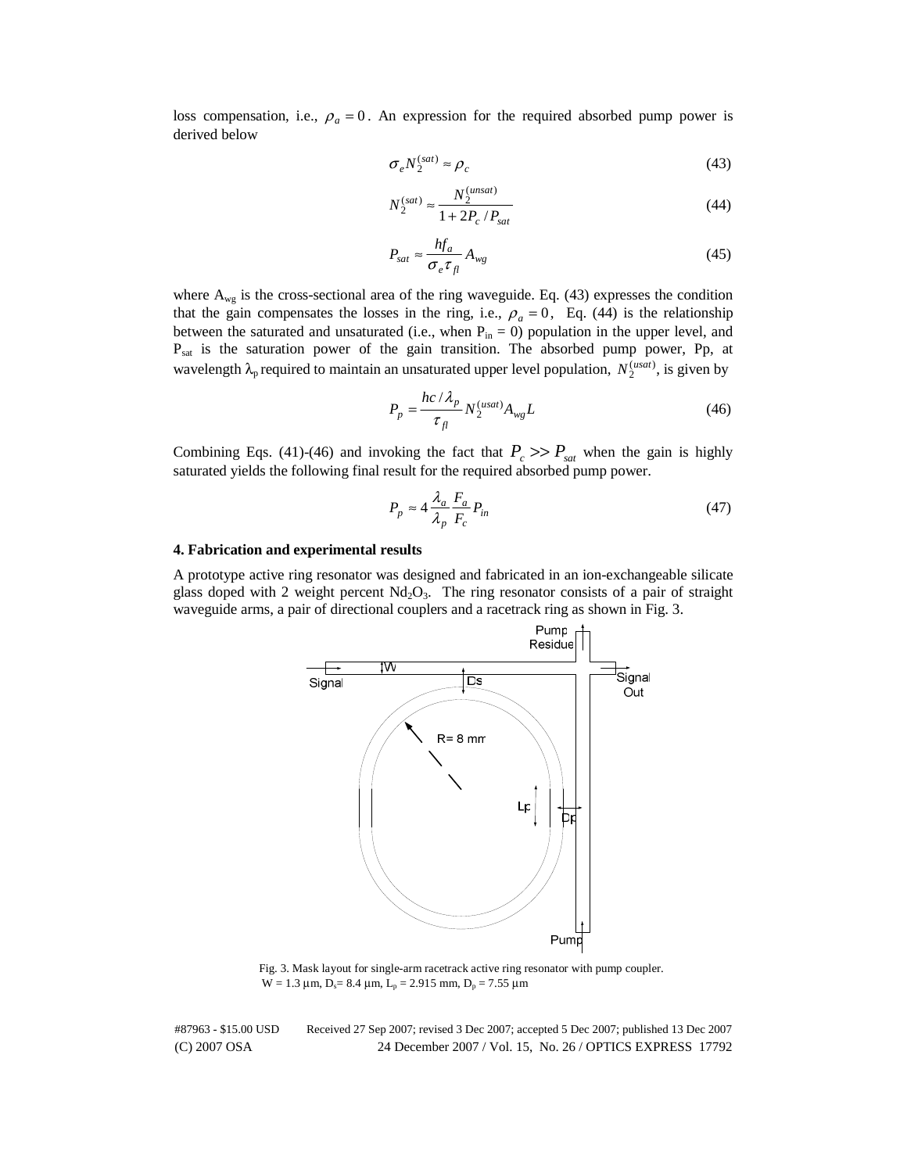loss compensation, i.e.,  $\rho_a = 0$ . An expression for the required absorbed pump power is derived below

$$
\sigma_e N_2^{(sat)} \approx \rho_c \tag{43}
$$

$$
N_2^{(sat)} \approx \frac{N_2^{(unsat)}}{1 + 2P_c/P_{sat}}\tag{44}
$$

$$
P_{sat} \approx \frac{hf_a}{\sigma_e \tau_{fl}} A_{wg} \tag{45}
$$

where  $A_{wg}$  is the cross-sectional area of the ring waveguide. Eq. (43) expresses the condition that the gain compensates the losses in the ring, i.e.,  $\rho_a = 0$ , Eq. (44) is the relationship between the saturated and unsaturated (i.e., when  $P_{in} = 0$ ) population in the upper level, and Psat is the saturation power of the gain transition. The absorbed pump power, Pp, at wavelength  $\lambda_p$  required to maintain an unsaturated upper level population,  $N_2^{(usat)}$ , is given by

$$
P_p = \frac{hc/\lambda_p}{\tau_{fl}} N_2^{(usat)} A_{wg} L \tag{46}
$$

Combining Eqs. (41)-(46) and invoking the fact that  $P_c \gg P_{sat}$  when the gain is highly saturated yields the following final result for the required absorbed pump power.

$$
P_p \approx 4 \frac{\lambda_a}{\lambda_p} \frac{F_a}{F_c} P_{in}
$$
 (47)

## **4. Fabrication and experimental results**

A prototype active ring resonator was designed and fabricated in an ion-exchangeable silicate glass doped with 2 weight percent  $Nd_2O_3$ . The ring resonator consists of a pair of straight waveguide arms, a pair of directional couplers and a racetrack ring as shown in Fig. 3.



 Fig. 3. Mask layout for single-arm racetrack active ring resonator with pump coupler.  $W = 1.3 \mu m$ , D<sub>s</sub> = 8.4 μm, L<sub>p</sub> = 2.915 mm, D<sub>p</sub> = 7.55 μm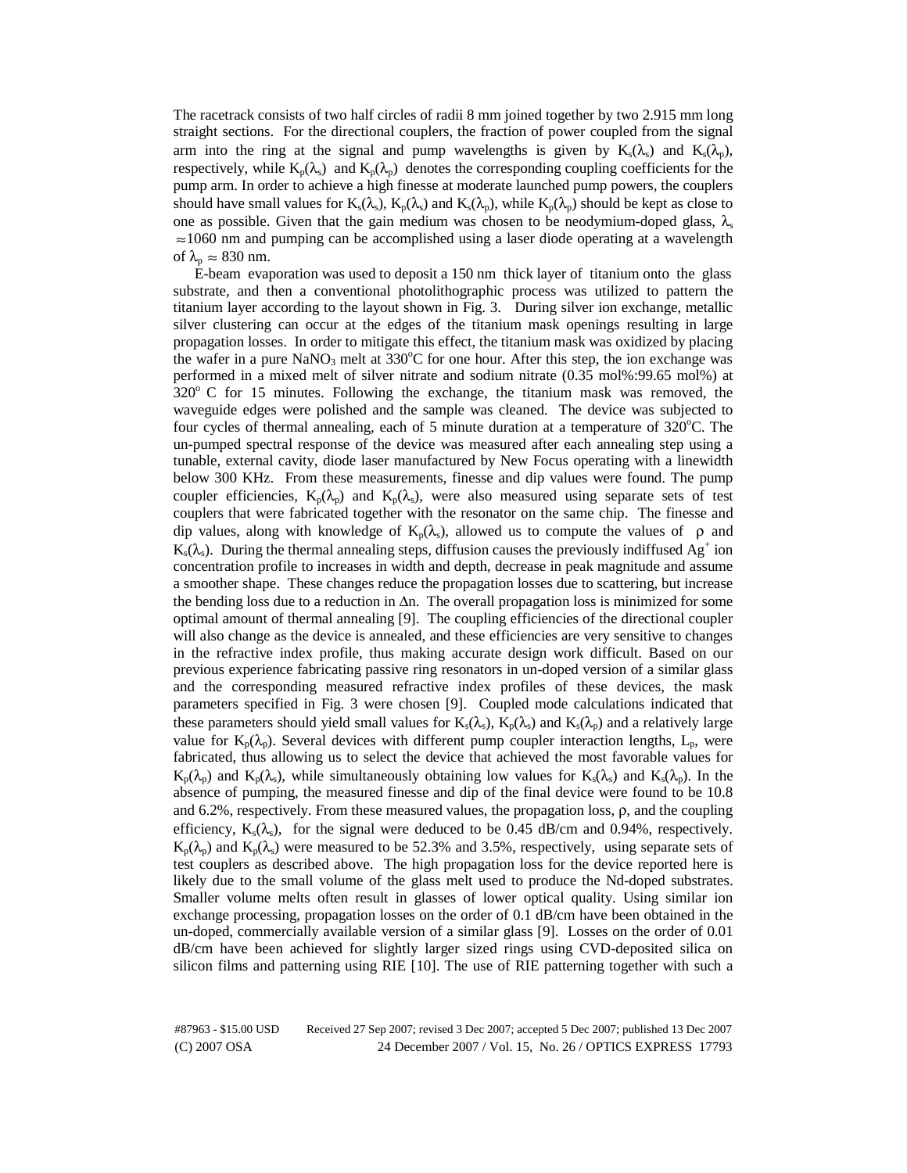The racetrack consists of two half circles of radii 8 mm joined together by two 2.915 mm long straight sections. For the directional couplers, the fraction of power coupled from the signal arm into the ring at the signal and pump wavelengths is given by  $K_s(\lambda_s)$  and  $K_s(\lambda_p)$ , respectively, while  $K_p(\lambda_s)$  and  $K_p(\lambda_p)$  denotes the corresponding coupling coefficients for the pump arm. In order to achieve a high finesse at moderate launched pump powers, the couplers should have small values for  $K_s(\lambda_s)$ ,  $K_p(\lambda_s)$  and  $K_s(\lambda_p)$ , while  $K_p(\lambda_p)$  should be kept as close to one as possible. Given that the gain medium was chosen to be neodymium-doped glass,  $\lambda_s$  $\approx$ 1060 nm and pumping can be accomplished using a laser diode operating at a wavelength of  $\lambda_p \approx 830$  nm.

E-beam evaporation was used to deposit a 150 nm thick layer of titanium onto the glass substrate, and then a conventional photolithographic process was utilized to pattern the titanium layer according to the layout shown in Fig. 3. During silver ion exchange, metallic silver clustering can occur at the edges of the titanium mask openings resulting in large propagation losses. In order to mitigate this effect, the titanium mask was oxidized by placing the wafer in a pure  $\text{NaNO}_3$  melt at  $330^{\circ}\text{C}$  for one hour. After this step, the ion exchange was performed in a mixed melt of silver nitrate and sodium nitrate (0.35 mol%:99.65 mol%) at  $320^{\circ}$  C for 15 minutes. Following the exchange, the titanium mask was removed, the waveguide edges were polished and the sample was cleaned. The device was subjected to four cycles of thermal annealing, each of 5 minute duration at a temperature of 320°C. The un-pumped spectral response of the device was measured after each annealing step using a tunable, external cavity, diode laser manufactured by New Focus operating with a linewidth below 300 KHz. From these measurements, finesse and dip values were found. The pump coupler efficiencies,  $K_p(\lambda_p)$  and  $K_p(\lambda_s)$ , were also measured using separate sets of test couplers that were fabricated together with the resonator on the same chip. The finesse and dip values, along with knowledge of  $K_p(\lambda_s)$ , allowed us to compute the values of  $\rho$  and  $K_s(\lambda_s)$ . During the thermal annealing steps, diffusion causes the previously indiffused  $Ag^+$  ion concentration profile to increases in width and depth, decrease in peak magnitude and assume a smoother shape. These changes reduce the propagation losses due to scattering, but increase the bending loss due to a reduction in  $\Delta n$ . The overall propagation loss is minimized for some optimal amount of thermal annealing [9]. The coupling efficiencies of the directional coupler will also change as the device is annealed, and these efficiencies are very sensitive to changes in the refractive index profile, thus making accurate design work difficult. Based on our previous experience fabricating passive ring resonators in un-doped version of a similar glass and the corresponding measured refractive index profiles of these devices, the mask parameters specified in Fig. 3 were chosen [9]. Coupled mode calculations indicated that these parameters should yield small values for  $K_s(\lambda_s)$ ,  $K_p(\lambda_s)$  and  $K_s(\lambda_p)$  and a relatively large value for  $K_p(\lambda_p)$ . Several devices with different pump coupler interaction lengths,  $L_p$ , were fabricated, thus allowing us to select the device that achieved the most favorable values for  $K_p(\lambda_p)$  and  $K_p(\lambda_s)$ , while simultaneously obtaining low values for  $K_s(\lambda_s)$  and  $K_s(\lambda_p)$ . In the absence of pumping, the measured finesse and dip of the final device were found to be 10.8 and 6.2%, respectively. From these measured values, the propagation loss,  $\rho$ , and the coupling efficiency,  $K_s(\lambda_s)$ , for the signal were deduced to be 0.45 dB/cm and 0.94%, respectively.  $K_p(\lambda_p)$  and  $K_p(\lambda_s)$  were measured to be 52.3% and 3.5%, respectively, using separate sets of test couplers as described above. The high propagation loss for the device reported here is likely due to the small volume of the glass melt used to produce the Nd-doped substrates. Smaller volume melts often result in glasses of lower optical quality. Using similar ion exchange processing, propagation losses on the order of 0.1 dB/cm have been obtained in the un-doped, commercially available version of a similar glass [9]. Losses on the order of 0.01 dB/cm have been achieved for slightly larger sized rings using CVD-deposited silica on silicon films and patterning using RIE [10]. The use of RIE patterning together with such a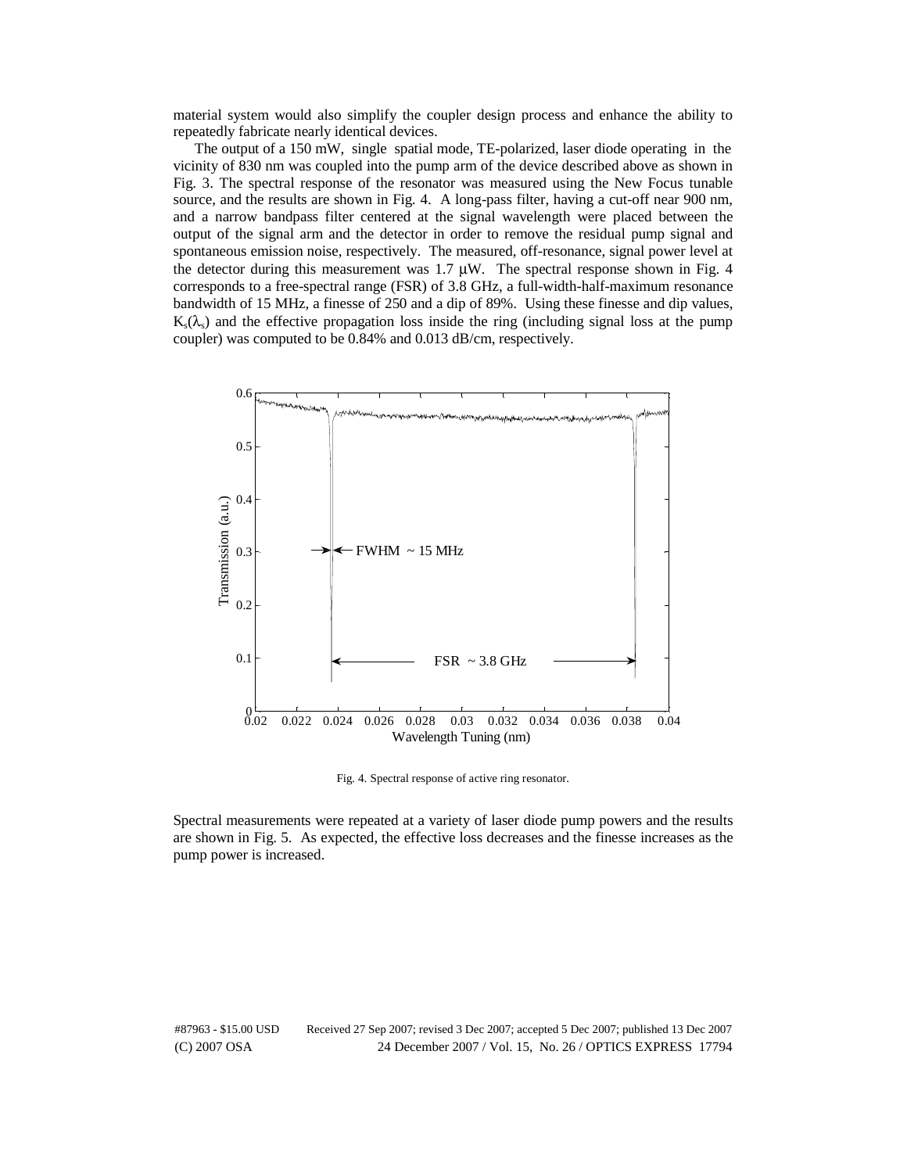material system would also simplify the coupler design process and enhance the ability to repeatedly fabricate nearly identical devices.

The output of a 150 mW, single spatial mode, TE-polarized, laser diode operating in the vicinity of 830 nm was coupled into the pump arm of the device described above as shown in Fig. 3. The spectral response of the resonator was measured using the New Focus tunable source, and the results are shown in Fig. 4. A long-pass filter, having a cut-off near 900 nm, and a narrow bandpass filter centered at the signal wavelength were placed between the output of the signal arm and the detector in order to remove the residual pump signal and spontaneous emission noise, respectively. The measured, off-resonance, signal power level at the detector during this measurement was  $1.7 \mu W$ . The spectral response shown in Fig. 4 corresponds to a free-spectral range (FSR) of 3.8 GHz, a full-width-half-maximum resonance bandwidth of 15 MHz, a finesse of 250 and a dip of 89%. Using these finesse and dip values,  $K_s(\lambda_s)$  and the effective propagation loss inside the ring (including signal loss at the pump coupler) was computed to be 0.84% and 0.013 dB/cm, respectively.



Fig. 4. Spectral response of active ring resonator.

Spectral measurements were repeated at a variety of laser diode pump powers and the results are shown in Fig. 5. As expected, the effective loss decreases and the finesse increases as the pump power is increased.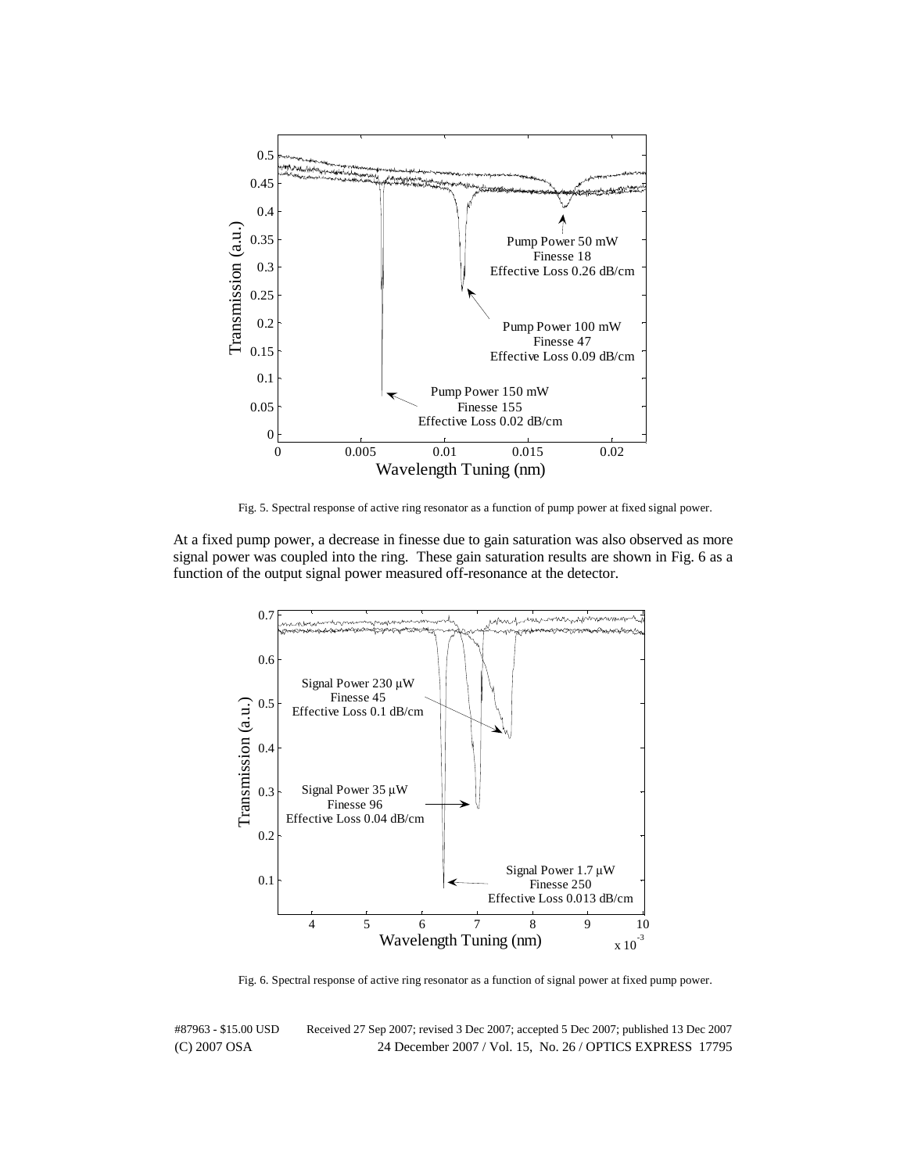

Fig. 5. Spectral response of active ring resonator as a function of pump power at fixed signal power.

At a fixed pump power, a decrease in finesse due to gain saturation was also observed as more signal power was coupled into the ring. These gain saturation results are shown in Fig. 6 as a function of the output signal power measured off-resonance at the detector.



Fig. 6. Spectral response of active ring resonator as a function of signal power at fixed pump power.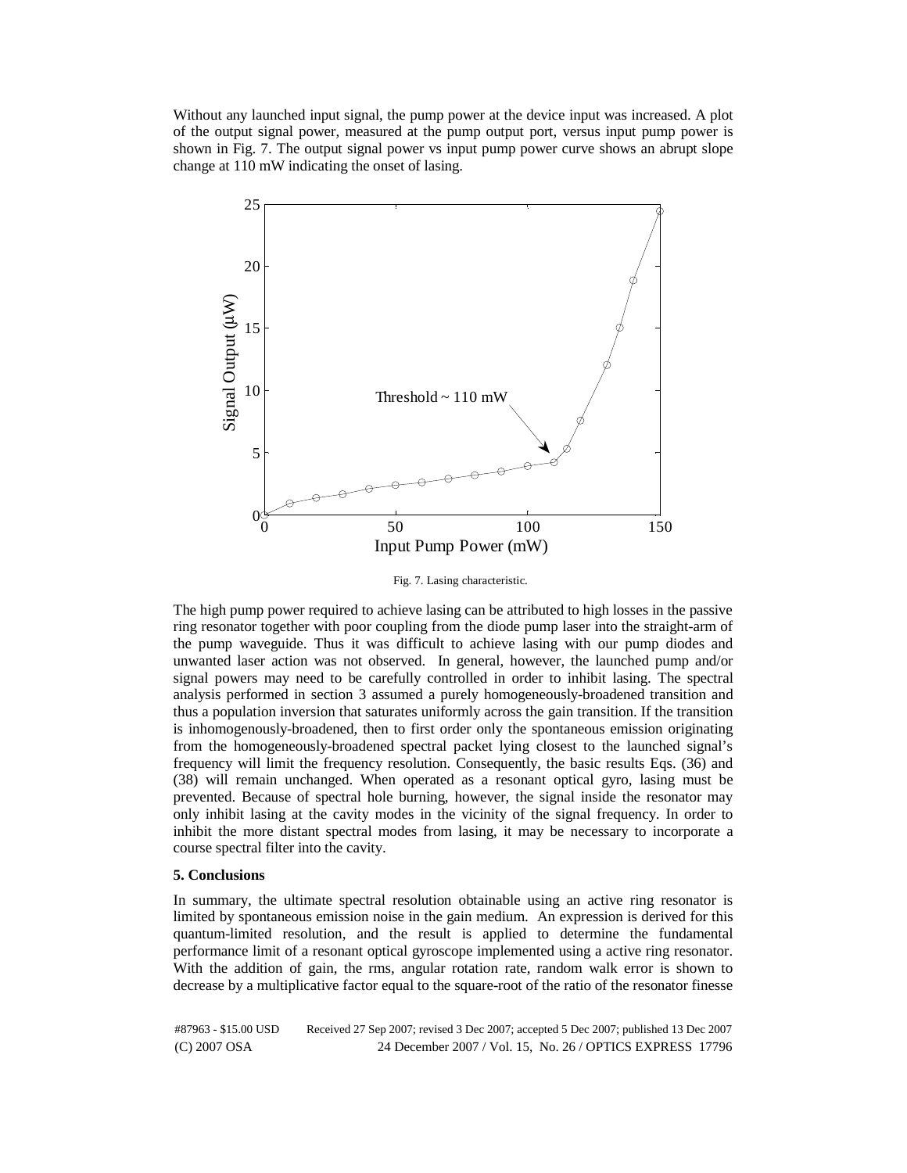Without any launched input signal, the pump power at the device input was increased. A plot of the output signal power, measured at the pump output port, versus input pump power is shown in Fig. 7. The output signal power vs input pump power curve shows an abrupt slope change at 110 mW indicating the onset of lasing.



Fig. 7. Lasing characteristic.

The high pump power required to achieve lasing can be attributed to high losses in the passive ring resonator together with poor coupling from the diode pump laser into the straight-arm of the pump waveguide. Thus it was difficult to achieve lasing with our pump diodes and unwanted laser action was not observed. In general, however, the launched pump and/or signal powers may need to be carefully controlled in order to inhibit lasing. The spectral analysis performed in section 3 assumed a purely homogeneously-broadened transition and thus a population inversion that saturates uniformly across the gain transition. If the transition is inhomogenously-broadened, then to first order only the spontaneous emission originating from the homogeneously-broadened spectral packet lying closest to the launched signal's frequency will limit the frequency resolution. Consequently, the basic results Eqs. (36) and (38) will remain unchanged. When operated as a resonant optical gyro, lasing must be prevented. Because of spectral hole burning, however, the signal inside the resonator may only inhibit lasing at the cavity modes in the vicinity of the signal frequency. In order to inhibit the more distant spectral modes from lasing, it may be necessary to incorporate a course spectral filter into the cavity.

#### **5. Conclusions**

In summary, the ultimate spectral resolution obtainable using an active ring resonator is limited by spontaneous emission noise in the gain medium. An expression is derived for this quantum-limited resolution, and the result is applied to determine the fundamental performance limit of a resonant optical gyroscope implemented using a active ring resonator. With the addition of gain, the rms, angular rotation rate, random walk error is shown to decrease by a multiplicative factor equal to the square-root of the ratio of the resonator finesse